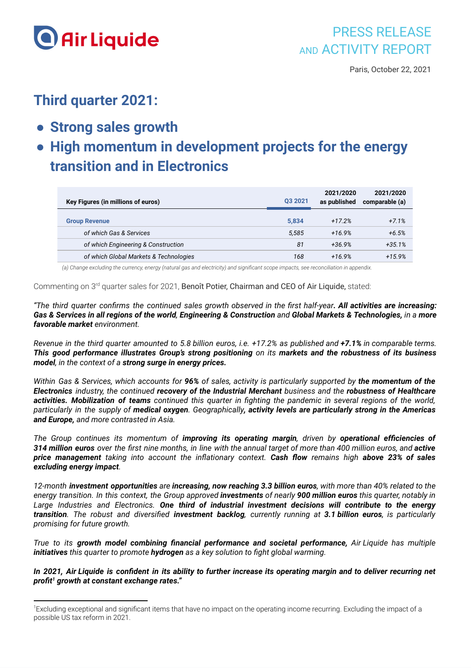

## **Third quarter 2021:**

- **● Strong sales growth**
- **● High momentum in development projects for the energy transition and in Electronics**

| Key Figures (in millions of euros)     | 03 2021 | 2021/2020<br>as published | 2021/2020<br>comparable (a) |
|----------------------------------------|---------|---------------------------|-----------------------------|
| <b>Group Revenue</b>                   | 5.834   | $+17.2%$                  | $+7.1%$                     |
| of which Gas & Services                | 5.585   | $+16.9%$                  | $+6.5%$                     |
| of which Engineering & Construction    | 81      | $+36.9%$                  | $+35.1%$                    |
| of which Global Markets & Technologies | 168     | $+16.9%$                  | $+15.9%$                    |

(a) Change excluding the currency, energy (natural gas and electricity) and significant scope impacts, see reconciliation in appendix.

Commenting on 3<sup>rd</sup> quarter sales for 2021, Benoît Potier, Chairman and CEO of Air Liquide, stated:

"The third quarter confirms the continued sales growth observed in the first half-year. All activities are increasing: Gas & Services in all regions of the world, Engineering & Construction and Global Markets & Technologies, in a more *favorable market environment.*

Revenue in the third quarter amounted to 5.8 billion euros, i.e. +17.2% as published and +7.1% in comparable terms. *This good performance illustrates Group's strong positioning on its markets and the robustness of its business model, in the context of a strong surge in energy prices.*

Within Gas & Services, which accounts for 96% of sales, activity is particularly supported by the momentum of the *Electronics industry, the continued recovery of the Industrial Merchant business and the robustness of Healthcare* activities. Mobilization of teams continued this quarter in fighting the pandemic in several regions of the world, particularly in the supply of medical oxygen. Geographically, activity levels are particularly strong in the Americas *and Europe, and more contrasted in Asia.*

*The Group continues its momentum of improving its operating margin, driven by operational efficiencies of* 314 million euros over the first nine months, in line with the annual target of more than 400 million euros, and active *price management taking into account the inflationary context. Cash flow remains high above 23% of sales excluding energy impact.*

12-month investment opportunities are increasing, now reaching 3.3 billion euros, with more than 40% related to the energy transition. In this context, the Group approved investments of nearly 900 million euros this quarter, notably in *Large Industries and Electronics. One third of industrial investment decisions will contribute to the energy* transition. The robust and diversified investment backlog, currently running at 3.1 billion euros, is particularly *promising for future growth.*

*True to its growth model combining financial performance and societal performance, Air Liquide has multiple initiatives this quarter to promote hydrogen as a key solution to fight global warming.*

In 2021, Air Liquide is confident in its ability to further increase its operating margin and to deliver recurring net *profit growth at constant exchange rates." 1*

<sup>&</sup>lt;sup>1</sup>Excluding exceptional and significant items that have no impact on the operating income recurring. Excluding the impact of a possible US tax reform in 2021.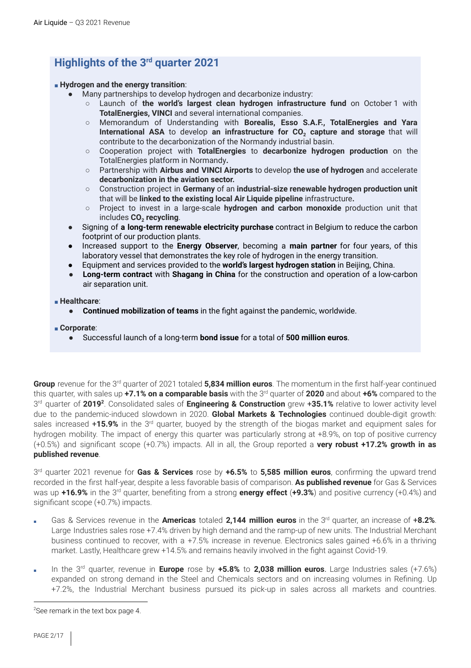## **Highlights of the 3 rd quarter 2021**

#### ■ **Hydrogen and the energy transition**:

- Many partnerships to develop hydrogen and decarbonize industry:
	- Launch of **the world's largest clean hydrogen infrastructure fund** on October 1 with **TotalEnergies, VINCI** and several international companies.
	- Memorandum of Understanding with **Borealis, Esso S.A.F., TotalEnergies and Yara International ASA** to develop **an infrastructure for CO<sup>2</sup> capture and storage** that will contribute to the decarbonization of the Normandy industrial basin.
	- Cooperation project with **TotalEnergies** to **decarbonize hydrogen production** on the TotalEnergies platform in Normandy**.**
	- **○** Partnership with **Airbus and VINCI Airports** to develop **the use of hydrogen** and accelerate **decarbonization in the aviation sector.**
	- **○** Construction project in **Germany** of an **industrial-size renewable hydrogen production unit** that will be **linked to the existing local Air Liquide pipeline** infrastructure**.**
	- **○** Project to invest in a large-scale **hydrogen and carbon monoxide** production unit that includes **CO<sup>2</sup> recycling**.
- Signing of **a long-term renewable electricity purchase** contract in Belgium to reduce the carbon footprint of our production plants.
- Increased support to the **Energy Observer**, becoming a **main partner** for four years, of this laboratory vessel that demonstrates the key role of hydrogen in the energy transition.
- Equipment and services provided to the **world's largest hydrogen station** in Beijing, China.
- **Long-term contract** with **Shagang in China** for the construction and operation of a low-carbon air separation unit.

#### ■ **Healthcare**:

● **Continued mobilization of teams** in the fight against the pandemic, worldwide.

■ **Corporate**:

● Successful launch of a long-term **bond issue** for a total of **500 million euros**.

Group revenue for the 3<sup>rd</sup> quarter of 2021 totaled 5,834 million euros. The momentum in the first half-year continued  $t$ his quarter, with sales up +7.1% on a comparable basis with the 3<sup>rd</sup> quarter of 2020 and about +6% compared to the 3<sup>rd</sup> quarter of 2019<sup>2</sup>. Consolidated sales of Engineering & Construction grew +35.1% relative to lower activity level due to the pandemic-induced slowdown in 2020. **Global Markets & Technologies** continued double-digit growth: sales increased +15.9% in the 3<sup>rd</sup> quarter, buoyed by the strength of the biogas market and equipment sales for hydrogen mobility. The impact of energy this quarter was particularly strong at +8.9%, on top of positive currency (+0.5%) and significant scope (+0.7%) impacts. All in all, the Group reported a **very robust +17.2% growth in as published revenue**.

3 rd quarter 2021 revenue for **Gas & Services** rose by **+6.5%** to **5,585 million euros**, confirming the upward trend recorded in the first half-year, despite a less favorable basis of comparison. **As published revenue** for Gas & Services was up +16.9% in the 3<sup>rd</sup> quarter, benefiting from a strong energy effect (+9.3%) and positive currency (+0.4%) and significant scope (+0.7%) impacts.

- Gas & Services revenue in the **Americas** totaled **2,144 million euros** in the 3 rd quarter, an increase of +**8.2%**. Large Industries sales rose +7.4% driven by high demand and the ramp-up of new units. The Industrial Merchant business continued to recover, with a +7.5% increase in revenue. Electronics sales gained +6.6% in a thriving market. Lastly, Healthcare grew +14.5% and remains heavily involved in the fight against Covid-19.
- In the 3 rd quarter, revenue in **Europe** rose by **+5.8%** to **2,038 million euros**. Large Industries sales (+7.6%) expanded on strong demand in the Steel and Chemicals sectors and on increasing volumes in Refining. Up +7.2%, the Industrial Merchant business pursued its pick-up in sales across all markets and countries.

<sup>&</sup>lt;sup>2</sup>See remark in the text box page 4.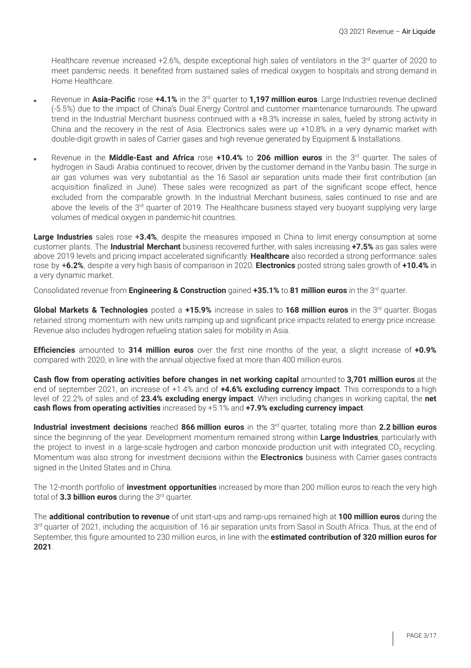Healthcare revenue increased +2.6%, despite exceptional high sales of ventilators in the 3<sup>rd</sup> quarter of 2020 to meet pandemic needs. It benefited from sustained sales of medical oxygen to hospitals and strong demand in Home Healthcare.

- **Revenue in Asia-Pacific** rose +4.1% in the 3<sup>rd</sup> quarter to 1,197 million euros. Large Industries revenue declined (-5.5%) due to the impact of China's Dual Energy Control and customer maintenance turnarounds. The upward trend in the Industrial Merchant business continued with a +8.3% increase in sales, fueled by strong activity in China and the recovery in the rest of Asia. Electronics sales were up +10.8% in a very dynamic market with double-digit growth in sales of Carrier gases and high revenue generated by Equipment & Installations.
- Revenue in the **Middle-East and Africa** rose **+10.4%** to **206 million euros** in the 3 rd quarter. The sales of hydrogen in Saudi Arabia continued to recover, driven by the customer demand in the Yanbu basin. The surge in air gas volumes was very substantial as the 16 Sasol air separation units made their first contribution (an acquisition finalized in June). These sales were recognized as part of the significant scope effect, hence excluded from the comparable growth. In the Industrial Merchant business, sales continued to rise and are above the levels of the 3<sup>rd</sup> quarter of 2019. The Healthcare business stayed very buoyant supplying very large volumes of medical oxygen in pandemic-hit countries.

**Large Industries** sales rose +**3.4%**, despite the measures imposed in China to limit energy consumption at some customer plants. The **Industrial Merchant** business recovered further, with sales increasing **+7.5%** as gas sales were above 2019 levels and pricing impact accelerated significantly. **Healthcare** also recorded a strong performance: sales rose by +**6.2%**, despite a very high basis of comparison in 2020. **Electronics** posted strong sales growth of **+10.4%** in a very dynamic market.

Consolidated revenue from **Engineering & Construction** gained **+35.1%** to **81 million euros** in the 3 rd quarter.

**Global Markets & Technologies** posted a **+15.9%** increase in sales to **168 million euros** in the 3 rd quarter. Biogas retained strong momentum with new units ramping up and significant price impacts related to energy price increase. Revenue also includes hydrogen refueling station sales for mobility in Asia.

**Efficiencies** amounted to **314 million euros** over the first nine months of the year, a slight increase of **+0.9%** compared with 2020, in line with the annual objective fixed at more than 400 million euros.

**Cash flow from operating activities before changes in net working capital** amounted to **3,701 million euros** at the end of september 2021, an increase of +1.4% and of **+4.6% excluding currency impact**. This corresponds to a high level of 22.2% of sales and of **23.4% excluding energy impact**. When including changes in working capital, the **net cash flows from operating activities** increased by +5.1% and **+7.9% excluding currency impact**.

**Industrial investment decisions** reached **866 million euros** in the 3 rd quarter, totaling more than **2.2 billion euros** since the beginning of the year. Development momentum remained strong within **Large Industries**, particularly with the project to invest in a large-scale hydrogen and carbon monoxide production unit with integrated CO<sub>2</sub> recycling. Momentum was also strong for investment decisions within the **Electronics** business with Carrier gases contracts signed in the United States and in China.

The 12-month portfolio of **investment opportunities** increased by more than 200 million euros to reach the very high total of 3.3 **billion euros** during the 3<sup>rd</sup> quarter.

The **additional contribution to revenue** of unit start-ups and ramp-ups remained high at **100 million euros** during the 3<sup>rd</sup> quarter of 2021, including the acquisition of 16 air separation units from Sasol in South Africa. Thus, at the end of September, this figure amounted to 230 million euros, in line with the **estimated contribution of 320 million euros for 2021**.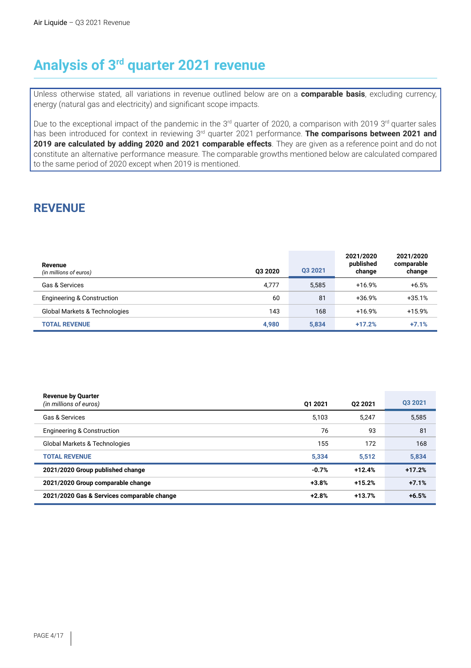# **Analysis of 3 rd quarter 2021 revenue**

Unless otherwise stated, all variations in revenue outlined below are on a **comparable basis**, excluding currency, energy (natural gas and electricity) and significant scope impacts.

Due to the exceptional impact of the pandemic in the 3<sup>rd</sup> quarter of 2020, a comparison with 2019 3<sup>rd</sup> quarter sales has been introduced for context in reviewing 3<sup>rd</sup> quarter 2021 performance. **The comparisons between 2021 and 2019 are calculated by adding 2020 and 2021 comparable effects**. They are given as a reference point and do not constitute an alternative performance measure. The comparable growths mentioned below are calculated compared to the same period of 2020 except when 2019 is mentioned.

## **REVENUE**

| Revenue<br>(in millions of euros)        | 03 20 20 | 03 2021 | 2021/2020<br>published<br>change | 2021/2020<br>comparable<br>change |
|------------------------------------------|----------|---------|----------------------------------|-----------------------------------|
| Gas & Services                           | 4,777    | 5.585   | $+16.9%$                         | $+6.5%$                           |
| Engineering & Construction               | 60       | 81      | $+36.9%$                         | $+35.1%$                          |
| <b>Global Markets &amp; Technologies</b> | 143      | 168     | $+16.9%$                         | $+15.9%$                          |
| <b>TOTAL REVENUE</b>                     | 4,980    | 5,834   | $+17.2%$                         | $+7.1%$                           |

| <b>Revenue by Quarter</b><br>(in millions of euros) | 01 2021 | 02 2021  | 03 20 21 |
|-----------------------------------------------------|---------|----------|----------|
| Gas & Services                                      | 5,103   | 5.247    | 5,585    |
| <b>Engineering &amp; Construction</b>               | 76      | 93       | 81       |
| Global Markets & Technologies                       | 155     | 172      | 168      |
| <b>TOTAL REVENUE</b>                                | 5,334   | 5,512    | 5,834    |
| 2021/2020 Group published change                    | $-0.7%$ | $+12.4%$ | $+17.2%$ |
| 2021/2020 Group comparable change                   | $+3.8%$ | $+15.2%$ | $+7.1%$  |
| 2021/2020 Gas & Services comparable change          | $+2.8%$ | $+13.7%$ | $+6.5%$  |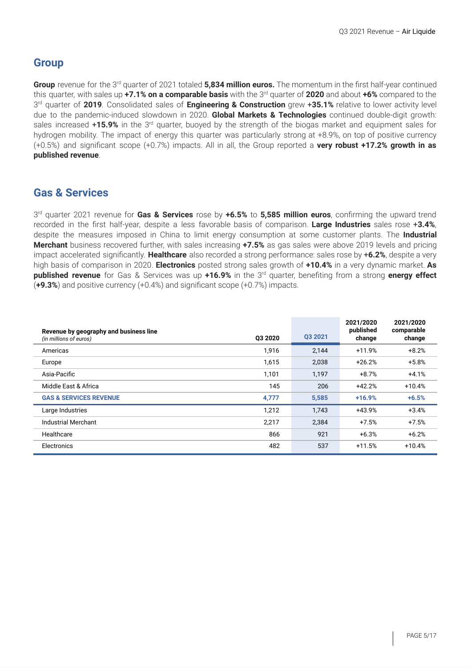### **Group**

Group revenue for the 3<sup>rd</sup> quarter of 2021 totaled 5,834 million euros. The momentum in the first half-year continued  $t$ his quarter, with sales up +7.1% on a comparable basis with the 3<sup>rd</sup> quarter of 2020 and about +6% compared to the 3 rd quarter of **2019**. Consolidated sales of **Engineering & Construction** grew +**35.1%** relative to lower activity level due to the pandemic-induced slowdown in 2020. **Global Markets & Technologies** continued double-digit growth: sales increased +15.9% in the 3<sup>rd</sup> quarter, buoyed by the strength of the biogas market and equipment sales for hydrogen mobility. The impact of energy this quarter was particularly strong at +8.9%, on top of positive currency (+0.5%) and significant scope (+0.7%) impacts. All in all, the Group reported a **very robust +17.2% growth in as published revenue**.

### **Gas & Services**

3 rd quarter 2021 revenue for **Gas & Services** rose by **+6.5%** to **5,585 million euros**, confirming the upward trend recorded in the first half-year, despite a less favorable basis of comparison. **Large Industries** sales rose +**3.4%**, despite the measures imposed in China to limit energy consumption at some customer plants. The **Industrial Merchant** business recovered further, with sales increasing **+7.5%** as gas sales were above 2019 levels and pricing impact accelerated significantly. **Healthcare** also recorded a strong performance: sales rose by +**6.2%**, despite a very high basis of comparison in 2020. **Electronics** posted strong sales growth of **+10.4%** in a very dynamic market. **As published revenue** for Gas & Services was up +16.9% in the 3<sup>rd</sup> quarter, benefiting from a strong energy effect (**+9.3%**) and positive currency (+0.4%) and significant scope (+0.7%) impacts.

| Revenue by geography and business line<br>(in millions of euros) | 03 20 20 | Q3 2021 | 2021/2020<br>published<br>change | 2021/2020<br>comparable<br>change |
|------------------------------------------------------------------|----------|---------|----------------------------------|-----------------------------------|
| Americas                                                         | 1,916    | 2,144   | $+11.9%$                         | $+8.2%$                           |
| Europe                                                           | 1,615    | 2,038   | $+26.2%$                         | $+5.8%$                           |
| Asia-Pacific                                                     | 1,101    | 1,197   | $+8.7%$                          | $+4.1%$                           |
| Middle East & Africa                                             | 145      | 206     | $+42.2%$                         | $+10.4%$                          |
| <b>GAS &amp; SERVICES REVENUE</b>                                | 4,777    | 5,585   | $+16.9%$                         | $+6.5%$                           |
| Large Industries                                                 | 1,212    | 1,743   | +43.9%                           | $+3.4%$                           |
| <b>Industrial Merchant</b>                                       | 2,217    | 2,384   | $+7.5%$                          | $+7.5%$                           |
| Healthcare                                                       | 866      | 921     | $+6.3%$                          | $+6.2%$                           |
| Electronics                                                      | 482      | 537     | $+11.5%$                         | $+10.4%$                          |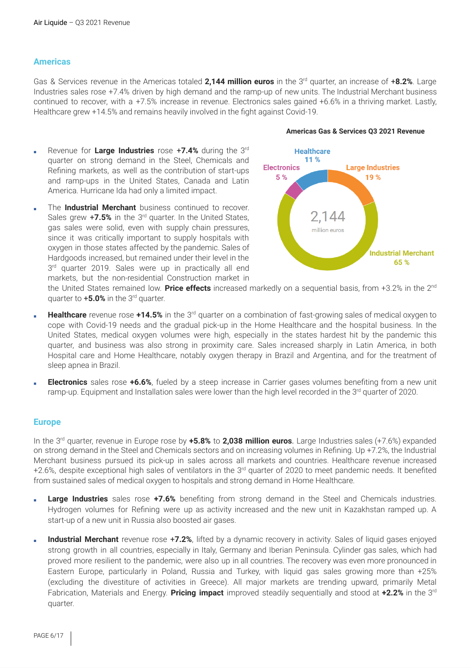#### **Americas**

Gas & Services revenue in the Americas totaled 2,144 million euros in the 3<sup>rd</sup> quarter, an increase of +8.2%. Large Industries sales rose +7.4% driven by high demand and the ramp-up of new units. The Industrial Merchant business continued to recover, with a +7.5% increase in revenue. Electronics sales gained +6.6% in a thriving market. Lastly, Healthcare grew +14.5% and remains heavily involved in the fight against Covid-19.

- **Revenue for Large Industries** rose +7.4% during the 3rd quarter on strong demand in the Steel, Chemicals and Refining markets, as well as the contribution of start-ups and ramp-ups in the United States, Canada and Latin America. Hurricane Ida had only a limited impact.
- The **Industrial Merchant** business continued to recover. Sales grew +7.5% in the 3<sup>rd</sup> quarter. In the United States, gas sales were solid, even with supply chain pressures, since it was critically important to supply hospitals with oxygen in those states affected by the pandemic. Sales of Hardgoods increased, but remained under their level in the 3<sup>rd</sup> quarter 2019. Sales were up in practically all end markets, but the non-residential Construction market in



#### **Americas Gas & Services Q3 2021 Revenue**

the United States remained low. Price effects increased markedly on a sequential basis, from +3.2% in the 2<sup>nd</sup> quarter to **+5.0%** in the 3<sup>rd</sup> quarter.

- **Healthcare** revenue rose +14.5% in the 3<sup>rd</sup> quarter on a combination of fast-growing sales of medical oxygen to cope with Covid-19 needs and the gradual pick-up in the Home Healthcare and the hospital business. In the United States, medical oxygen volumes were high, especially in the states hardest hit by the pandemic this quarter, and business was also strong in proximity care. Sales increased sharply in Latin America, in both Hospital care and Home Healthcare, notably oxygen therapy in Brazil and Argentina, and for the treatment of sleep apnea in Brazil.
- **Electronics** sales rose +6.6%, fueled by a steep increase in Carrier gases volumes benefiting from a new unit ramp-up. Equipment and Installation sales were lower than the high level recorded in the 3<sup>rd</sup> quarter of 2020.

#### **Europe**

In the 3<sup>rd</sup> quarter, revenue in Europe rose by +5.8% to 2,038 million euros. Large Industries sales (+7.6%) expanded on strong demand in the Steel and Chemicals sectors and on increasing volumes in Refining. Up +7.2%, the Industrial Merchant business pursued its pick-up in sales across all markets and countries. Healthcare revenue increased +2.6%, despite exceptional high sales of ventilators in the 3<sup>rd</sup> quarter of 2020 to meet pandemic needs. It benefited from sustained sales of medical oxygen to hospitals and strong demand in Home Healthcare.

- **Large Industries** sales rose +7.6% benefiting from strong demand in the Steel and Chemicals industries. Hydrogen volumes for Refining were up as activity increased and the new unit in Kazakhstan ramped up. A start-up of a new unit in Russia also boosted air gases.
- **Industrial Merchant** revenue rose +**7.2%**, lifted by a dynamic recovery in activity. Sales of liquid gases enjoyed strong growth in all countries, especially in Italy, Germany and Iberian Peninsula. Cylinder gas sales, which had proved more resilient to the pandemic, were also up in all countries. The recovery was even more pronounced in Eastern Europe, particularly in Poland, Russia and Turkey, with liquid gas sales growing more than +25% (excluding the divestiture of activities in Greece). All major markets are trending upward, primarily Metal Fabrication, Materials and Energy. Pricing impact improved steadily sequentially and stood at +2.2% in the 3<sup>rd</sup> quarter.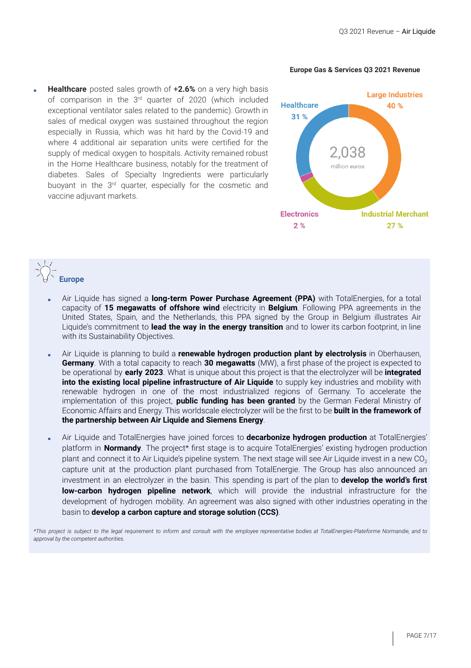#### **Europe Gas & Services Q3 2021 Revenue**

**Healthcare** posted sales growth of +2.6% on a very high basis of comparison in the 3<sup>rd</sup> quarter of 2020 (which included exceptional ventilator sales related to the pandemic). Growth in sales of medical oxygen was sustained throughout the region especially in Russia, which was hit hard by the Covid-19 and where 4 additional air separation units were certified for the supply of medical oxygen to hospitals. Activity remained robust in the Home Healthcare business, notably for the treatment of diabetes. Sales of Specialty Ingredients were particularly buoyant in the 3<sup>rd</sup> quarter, especially for the cosmetic and vaccine adjuvant markets.



## **Europe**

- Air Liquide has signed a **long-term Power Purchase Agreement (PPA)** with TotalEnergies, for a total capacity of **15 megawatts of offshore wind** electricity in **Belgium**. Following PPA agreements in the United States, Spain, and the Netherlands, this PPA signed by the Group in Belgium illustrates Air Liquide's commitment to **lead the way in the energy transition** and to lower its carbon footprint, in line with its Sustainability Objectives.
- Air Liquide is planning to build a **renewable hydrogen production plant by electrolysis** in Oberhausen, **Germany**. With a total capacity to reach **30 megawatts** (MW), a first phase of the project is expected to be operational by **early 2023**. What is unique about this project is that the electrolyzer will be **integrated into the existing local pipeline infrastructure of Air Liquide** to supply key industries and mobility with renewable hydrogen in one of the most industrialized regions of Germany. To accelerate the implementation of this project, **public funding has been granted** by the German Federal Ministry of Economic Affairs and Energy. This worldscale electrolyzer will be the first to be **built in the framework of the partnership between Air Liquide and Siemens Energy**.
- Air Liquide and TotalEnergies have joined forces to **decarbonize hydrogen production** at TotalEnergies' platform in **Normandy**. The project\* first stage is to acquire TotalEnergies' existing hydrogen production plant and connect it to Air Liquide's pipeline system. The next stage will see Air Liquide invest in a new  $CO<sub>2</sub>$ capture unit at the production plant purchased from TotalEnergie. The Group has also announced an investment in an electrolyzer in the basin. This spending is part of the plan to **develop the world's first low-carbon hydrogen pipeline network**, which will provide the industrial infrastructure for the development of hydrogen mobility. An agreement was also signed with other industries operating in the basin to **develop a carbon capture and storage solution (CCS)**.

\*This project is subject to the legal requirement to inform and consult with the employee representative bodies at TotalEnergies-Plateforme Normandie, and to *approval by the competent authorities.*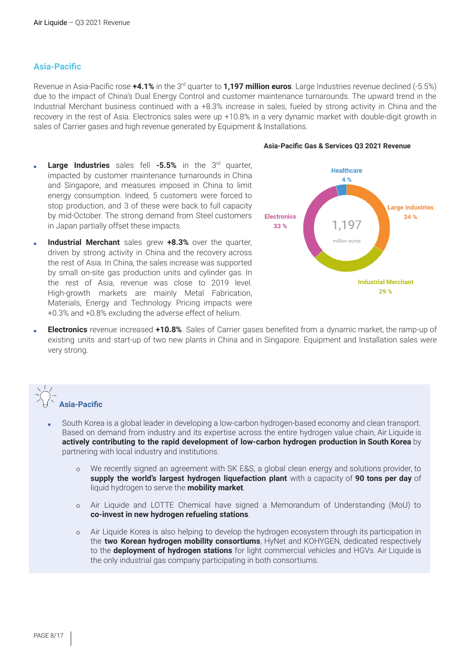#### **Asia-Pacific**

Revenue in Asia-Pacific rose +4.1% in the 3<sup>rd</sup> quarter to 1,197 **million euros**. Large Industries revenue declined (-5.5%) due to the impact of China's Dual Energy Control and customer maintenance turnarounds. The upward trend in the Industrial Merchant business continued with a +8.3% increase in sales, fueled by strong activity in China and the recovery in the rest of Asia. Electronics sales were up +10.8% in a very dynamic market with double-digit growth in sales of Carrier gases and high revenue generated by Equipment & Installations.

#### **Asia-Pacific Gas & Services Q3 2021 Revenue**

- **Large Industries** sales fell -5.5% in the 3<sup>rd</sup> quarter, impacted by customer maintenance turnarounds in China and Singapore, and measures imposed in China to limit energy consumption. Indeed, 5 customers were forced to stop production, and 3 of these were back to full capacity by mid-October. The strong demand from Steel customers in Japan partially offset these impacts.
- **Industrial Merchant** sales grew +8.3% over the quarter, driven by strong activity in China and the recovery across the rest of Asia. In China, the sales increase was supported by small on-site gas production units and cylinder gas. In the rest of Asia, revenue was close to 2019 level. High-growth markets are mainly Metal Fabrication, Materials, Energy and Technology. Pricing impacts were +0.3% and +0.8% excluding the adverse effect of helium.



**Electronics** revenue increased +10.8%. Sales of Carrier gases benefited from a dynamic market, the ramp-up of existing units and start-up of two new plants in China and in Singapore. Equipment and Installation sales were very strong.



- South Korea is a global leader in developing a low-carbon hydrogen-based economy and clean transport. Based on demand from industry and its expertise across the entire hydrogen value chain, Air Liquide is **actively contributing to the rapid development of low-carbon hydrogen production in South Korea** by partnering with local industry and institutions.
	- o We recently signed an agreement with SK E&S, a global clean energy and solutions provider, to **supply the world's largest hydrogen liquefaction plant** with a capacity of **90 tons per day** of liquid hydrogen to serve the **mobility market**.
	- o Air Liquide and LOTTE Chemical have signed a Memorandum of Understanding (MoU) to **co-invest in new hydrogen refueling stations**.
	- o Air Liquide Korea is also helping to develop the hydrogen ecosystem through its participation in the **two Korean hydrogen mobility consortiums**, HyNet and KOHYGEN, dedicated respectively to the **deployment of hydrogen stations** for light commercial vehicles and HGVs. Air Liquide is the only industrial gas company participating in both consortiums.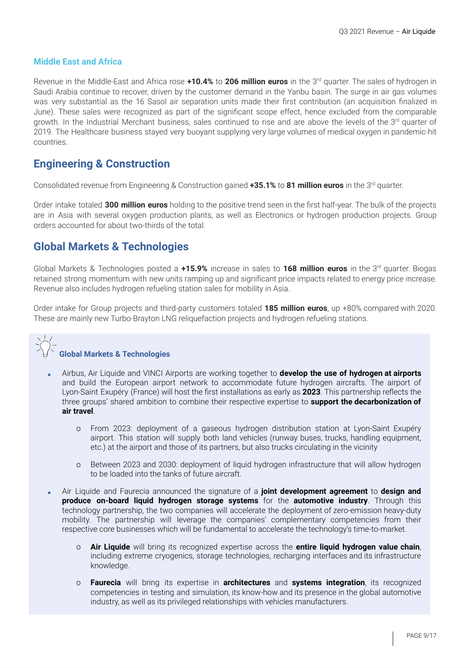#### **Middle East and Africa**

Revenue in the Middle-East and Africa rose **+10.4%** to **206 million euros** in the 3 rd quarter. The sales of hydrogen in Saudi Arabia continue to recover, driven by the customer demand in the Yanbu basin. The surge in air gas volumes was very substantial as the 16 Sasol air separation units made their first contribution (an acquisition finalized in June). These sales were recognized as part of the significant scope effect, hence excluded from the comparable growth. In the Industrial Merchant business, sales continued to rise and are above the levels of the 3<sup>rd</sup> quarter of 2019. The Healthcare business stayed very buoyant supplying very large volumes of medical oxygen in pandemic-hit countries.

#### **Engineering & Construction**

Consolidated revenue from Engineering & Construction gained **+35.1%** to **81 million euros** in the 3 rd quarter.

Order intake totaled **300 million euros** holding to the positive trend seen in the first half-year. The bulk of the projects are in Asia with several oxygen production plants, as well as Electronics or hydrogen production projects. Group orders accounted for about two-thirds of the total.

#### **Global Markets & Technologies**

Global Markets & Technologies posted a **+15.9%** increase in sales to **168 million euros** in the 3 rd quarter. Biogas retained strong momentum with new units ramping up and significant price impacts related to energy price increase. Revenue also includes hydrogen refueling station sales for mobility in Asia.

Order intake for Group projects and third-party customers totaled **185 million euros**, up +80% compared with 2020. These are mainly new Turbo-Brayton LNG reliquefaction projects and hydrogen refueling stations.

#### **Global Markets & Technologies**

- Airbus, Air Liquide and VINCI Airports are working together to **develop the use of hydrogen at airports** and build the European airport network to accommodate future hydrogen aircrafts. The airport of Lyon-Saint Exupéry (France) will host the first installations as early as **2023**. This partnership reflects the three groups' shared ambition to combine their respective expertise to **support the decarbonization of air travel**.
	- o From 2023: deployment of a gaseous hydrogen distribution station at Lyon-Saint Exupéry airport. This station will supply both land vehicles (runway buses, trucks, handling equipment, etc.) at the airport and those of its partners, but also trucks circulating in the vicinity
	- o Between 2023 and 2030: deployment of liquid hydrogen infrastructure that will allow hydrogen to be loaded into the tanks of future aircraft.
- Air Liquide and Faurecia announced the signature of a **joint development agreement** to **design and produce on-board liquid hydrogen storage systems** for the **automotive industry**. Through this technology partnership, the two companies will accelerate the deployment of zero-emission heavy-duty mobility. The partnership will leverage the companies' complementary competencies from their respective core businesses which will be fundamental to accelerate the technology's time-to-market.
	- o **Air Liquide** will bring its recognized expertise across the **entire liquid hydrogen value chain**, including extreme cryogenics, storage technologies, recharging interfaces and its infrastructure knowledge.
	- o **Faurecia** will bring its expertise in **architectures** and **systems integration**, its recognized competencies in testing and simulation, its know-how and its presence in the global automotive industry, as well as its privileged relationships with vehicles manufacturers.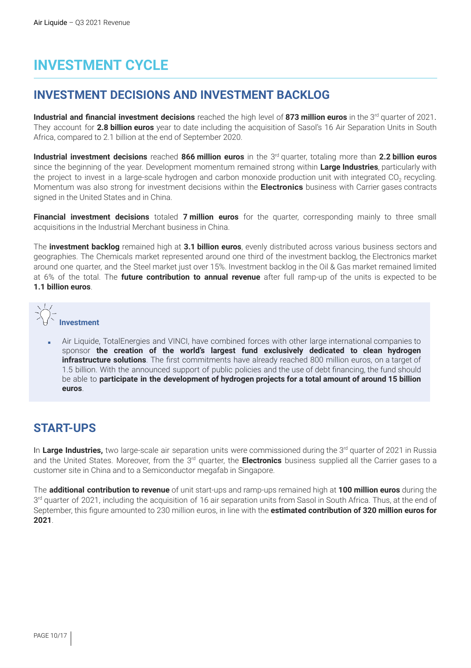# **INVESTMENT CYCLE**

### **INVESTMENT DECISIONS AND INVESTMENT BACKLOG**

**Industrial and financial investment decisions** reached the high level of 873 million euros in the 3<sup>rd</sup> quarter of 2021. They account for **2.8 billion euros** year to date including the acquisition of Sasol's 16 Air Separation Units in South Africa, compared to 2.1 billion at the end of September 2020.

**Industrial investment decisions** reached **866 million euros** in the 3 rd quarter, totaling more than **2.2 billion euros** since the beginning of the year. Development momentum remained strong within **Large Industries**, particularly with the project to invest in a large-scale hydrogen and carbon monoxide production unit with integrated CO<sub>2</sub> recycling. Momentum was also strong for investment decisions within the **Electronics** business with Carrier gases contracts signed in the United States and in China.

**Financial investment decisions** totaled **7 million euros** for the quarter, corresponding mainly to three small acquisitions in the Industrial Merchant business in China.

The **investment backlog** remained high at **3.1 billion euros**, evenly distributed across various business sectors and geographies. The Chemicals market represented around one third of the investment backlog, the Electronics market around one quarter, and the Steel market just over 15%. Investment backlog in the Oil & Gas market remained limited at 6% of the total. The **future contribution to annual revenue** after full ramp-up of the units is expected to be **1.1 billion euros**.



Air Liquide, TotalEnergies and VINCI, have combined forces with other large international companies to sponsor **the creation of the world's largest fund exclusively dedicated to clean hydrogen infrastructure solutions**. The first commitments have already reached 800 million euros, on a target of 1.5 billion. With the announced support of public policies and the use of debt financing, the fund should be able to **participate in the development of hydrogen projects for a total amount of around 15 billion euros**.

## **START-UPS**

In Large Industries, two large-scale air separation units were commissioned during the 3<sup>rd</sup> quarter of 2021 in Russia and the United States. Moreover, from the 3<sup>rd</sup> quarter, the **Electronics** business supplied all the Carrier gases to a customer site in China and to a Semiconductor megafab in Singapore.

The **additional contribution to revenue** of unit start-ups and ramp-ups remained high at **100 million euros** during the 3<sup>rd</sup> quarter of 2021, including the acquisition of 16 air separation units from Sasol in South Africa. Thus, at the end of September, this figure amounted to 230 million euros, in line with the **estimated contribution of 320 million euros for 2021**.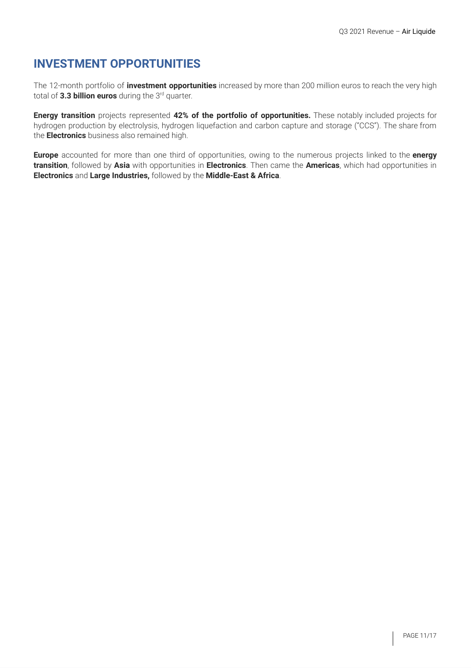## **INVESTMENT OPPORTUNITIES**

The 12-month portfolio of **investment opportunities** increased by more than 200 million euros to reach the very high total of 3.3 **billion euros** during the 3<sup>rd</sup> quarter.

**Energy transition** projects represented **42% of the portfolio of opportunities.** These notably included projects for hydrogen production by electrolysis, hydrogen liquefaction and carbon capture and storage ("CCS"). The share from the **Electronics** business also remained high.

**Europe** accounted for more than one third of opportunities, owing to the numerous projects linked to the **energy transition**, followed by **Asia** with opportunities in **Electronics**. Then came the **Americas**, which had opportunities in **Electronics** and **Large Industries,** followed by the **Middle-East & Africa**.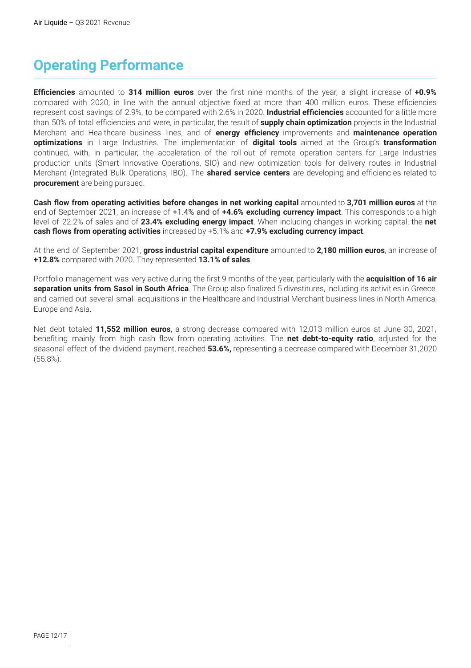# **Operating Performance**

**Efficiencies** amounted to **314 million euros** over the first nine months of the year, a slight increase of **+0.9%** compared with 2020, in line with the annual objective fixed at more than 400 million euros. These efficiencies represent cost savings of 2.9%, to be compared with 2.6% in 2020. **Industrial efficiencies** accounted for a little more than 50% of total efficiencies and were, in particular, the result of **supply chain optimization** projects in the Industrial Merchant and Healthcare business lines, and of **energy efficiency** improvements and **maintenance operation optimizations** in Large Industries. The implementation of **digital tools** aimed at the Group's **transformation** continued, with, in particular, the acceleration of the roll-out of remote operation centers for Large Industries production units (Smart Innovative Operations, SIO) and new optimization tools for delivery routes in Industrial Merchant (Integrated Bulk Operations, IBO). The **shared service centers** are developing and efficiencies related to **procurement** are being pursued.

**Cash flow from operating activities before changes in net working capital** amounted to **3,701 million euros** at the end of September 2021, an increase of +1.4% and of **+4.6% excluding currency impact**. This corresponds to a high level of 22.2% of sales and of **23.4% excluding energy impact**. When including changes in working capital, the **net cash flows from operating activities** increased by +5.1% and **+7.9% excluding currency impact**.

At the end of September 2021, **gross industrial capital expenditure** amounted to **2,180 million euros**, an increase of **+12.8%** compared with 2020. They represented **13.1% of sales**.

Portfolio management was very active during the first 9 months of the year, particularly with the **acquisition of 16 air separation units from Sasol in South Africa**. The Group also finalized 5 divestitures, including its activities in Greece, and carried out several small acquisitions in the Healthcare and Industrial Merchant business lines in North America, Europe and Asia.

Net debt totaled **11,552 million euros**, a strong decrease compared with 12,013 million euros at June 30, 2021, benefiting mainly from high cash flow from operating activities. The **net debt-to-equity ratio**, adjusted for the seasonal effect of the dividend payment, reached **53.6%,** representing a decrease compared with December 31,2020 (55.8%).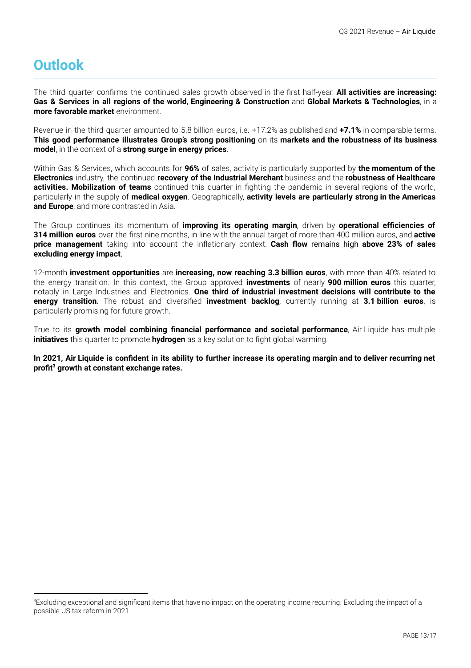## **Outlook**

The third quarter confirms the continued sales growth observed in the first half-year. **All activities are increasing: Gas & Services in all regions of the world**, **Engineering & Construction** and **Global Markets & Technologies**, in a **more favorable market** environment.

Revenue in the third quarter amounted to 5.8 billion euros, i.e. +17.2% as published and **+7.1%** in comparable terms. **This good performance illustrates Group's strong positioning** on its **markets and the robustness of its business model**, in the context of a **strong surge in energy prices**.

Within Gas & Services, which accounts for **96%** of sales, activity is particularly supported by **the momentum of the Electronics** industry, the continued **recovery of the Industrial Merchant** business and the **robustness of Healthcare activities. Mobilization of teams** continued this quarter in fighting the pandemic in several regions of the world, particularly in the supply of **medical oxygen**. Geographically, **activity levels are particularly strong in the Americas and Europe**, and more contrasted in Asia.

The Group continues its momentum of **improving its operating margin**, driven by **operational efficiencies of 314 million euros** over the first nine months, in line with the annual target of more than 400 million euros, and **active price management** taking into account the inflationary context. **Cash flow** remains high **above 23% of sales excluding energy impact**.

12-month **investment opportunities** are **increasing, now reaching 3.3 billion euros**, with more than 40% related to the energy transition. In this context, the Group approved **investments** of nearly **900 million euros** this quarter, notably in Large Industries and Electronics. **One third of industrial investment decisions will contribute to the energy transition**. The robust and diversified **investment backlog**, currently running at **3.1 billion euros**, is particularly promising for future growth.

True to its **growth model combining financial performance and societal performance**, Air Liquide has multiple **initiatives** this quarter to promote **hydrogen** as a key solution to fight global warming.

In 2021, Air Liquide is confident in its ability to further increase its operating margin and to deliver recurring net **profit growth at constant exchange rates. 3**

<sup>&</sup>lt;sup>3</sup>Excluding exceptional and significant items that have no impact on the operating income recurring. Excluding the impact of a possible US tax reform in 2021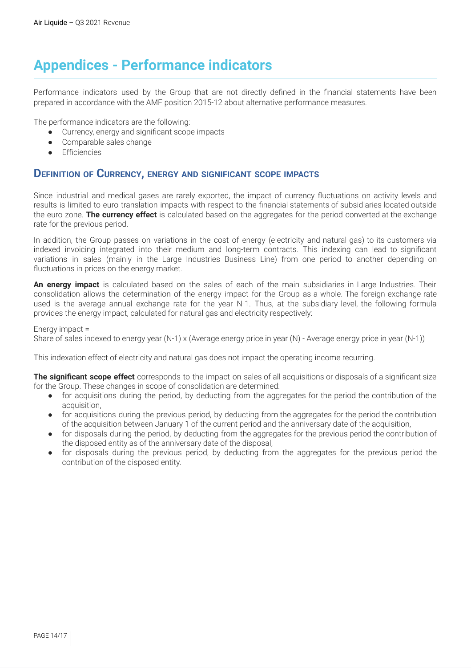## **Appendices - Performance indicators**

Performance indicators used by the Group that are not directly defined in the financial statements have been prepared in accordance with the AMF position 2015-12 about alternative performance measures.

The performance indicators are the following:

- Currency, energy and significant scope impacts
- Comparable sales change
- **Efficiencies**

#### **DEFINITION OF CURRENCY, ENERGY AND SIGNIFICANT SCOPE IMPACTS**

Since industrial and medical gases are rarely exported, the impact of currency fluctuations on activity levels and results is limited to euro translation impacts with respect to the financial statements of subsidiaries located outside the euro zone. **The currency effect** is calculated based on the aggregates for the period converted at the exchange rate for the previous period.

In addition, the Group passes on variations in the cost of energy (electricity and natural gas) to its customers via indexed invoicing integrated into their medium and long-term contracts. This indexing can lead to significant variations in sales (mainly in the Large Industries Business Line) from one period to another depending on fluctuations in prices on the energy market.

**An energy impact** is calculated based on the sales of each of the main subsidiaries in Large Industries. Their consolidation allows the determination of the energy impact for the Group as a whole. The foreign exchange rate used is the average annual exchange rate for the year N-1. Thus, at the subsidiary level, the following formula provides the energy impact, calculated for natural gas and electricity respectively:

Energy impact =

Share of sales indexed to energy year (N-1) x (Average energy price in year (N) - Average energy price in year (N-1))

This indexation effect of electricity and natural gas does not impact the operating income recurring.

**The significant scope effect** corresponds to the impact on sales of all acquisitions or disposals of a significant size for the Group. These changes in scope of consolidation are determined:

- for acquisitions during the period, by deducting from the aggregates for the period the contribution of the acquisition,
- for acquisitions during the previous period, by deducting from the aggregates for the period the contribution of the acquisition between January 1 of the current period and the anniversary date of the acquisition,
- for disposals during the period, by deducting from the aggregates for the previous period the contribution of the disposed entity as of the anniversary date of the disposal,
- for disposals during the previous period, by deducting from the aggregates for the previous period the contribution of the disposed entity.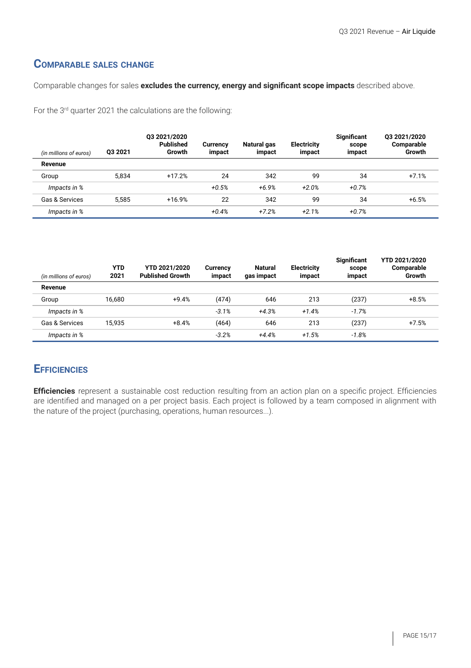### **COMPARABLE SALES CHANGE**

Comparable changes for sales **excludes the currency, energy and significant scope impacts** described above.

For the 3<sup>rd</sup> quarter 2021 the calculations are the following:

| (in millions of euros) | 03 2021 | Q3 2021/2020<br><b>Published</b><br>Growth | <b>Currency</b><br>impact | Natural gas<br>impact | <b>Electricity</b><br>impact | <b>Significant</b><br>scope<br>impact | 03 2021/2020<br>Comparable<br>Growth |
|------------------------|---------|--------------------------------------------|---------------------------|-----------------------|------------------------------|---------------------------------------|--------------------------------------|
| Revenue                |         |                                            |                           |                       |                              |                                       |                                      |
| Group                  | 5.834   | $+17.2%$                                   | 24                        | 342                   | 99                           | 34                                    | $+7.1%$                              |
| Impacts in %           |         |                                            | $+0.5%$                   | $+6.9%$               | $+2.0%$                      | $+0.7%$                               |                                      |
| Gas & Services         | 5.585   | $+16.9%$                                   | 22                        | 342                   | 99                           | 34                                    | $+6.5%$                              |
| Impacts in %           |         |                                            | $+0.4%$                   | $+7.2%$               | $+2.1%$                      | $+0.7%$                               |                                      |

| (in millions of euros) | <b>YTD</b><br>2021 | <b>YTD 2021/2020</b><br><b>Published Growth</b> | <b>Currency</b><br>impact | <b>Natural</b><br>gas impact | <b>Electricity</b><br>impact | <b>Significant</b><br>scope<br>impact | <b>YTD 2021/2020</b><br>Comparable<br>Growth |
|------------------------|--------------------|-------------------------------------------------|---------------------------|------------------------------|------------------------------|---------------------------------------|----------------------------------------------|
| Revenue                |                    |                                                 |                           |                              |                              |                                       |                                              |
| Group                  | 16.680             | $+9.4%$                                         | (474)                     | 646                          | 213                          | (237)                                 | $+8.5%$                                      |
| Impacts in %           |                    |                                                 | $-3.1%$                   | $+4.3%$                      | $+1.4%$                      | $-1.7%$                               |                                              |
| Gas & Services         | 15.935             | $+8.4%$                                         | (464)                     | 646                          | 213                          | (237)                                 | $+7.5%$                                      |
| Impacts in %           |                    |                                                 | $-3.2%$                   | $+4.4%$                      | $+1.5%$                      | $-1.8%$                               |                                              |

### **EFFICIENCIES**

**Efficiencies** represent a sustainable cost reduction resulting from an action plan on a specific project. Efficiencies are identified and managed on a per project basis. Each project is followed by a team composed in alignment with the nature of the project (purchasing, operations, human resources...).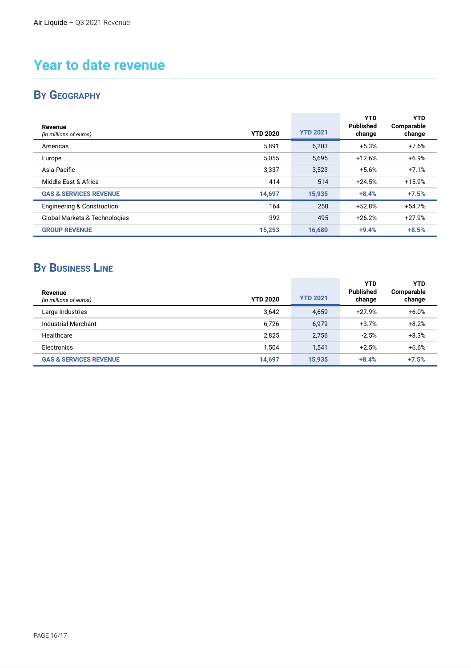## **Year to date revenue**

## **BY GEOGRAPHY**

| Revenue<br>(in millions of euros)        | <b>YTD 2020</b> | <b>YTD 2021</b> | <b>YTD</b><br><b>Published</b><br>change | <b>YTD</b><br>Comparable<br>change |
|------------------------------------------|-----------------|-----------------|------------------------------------------|------------------------------------|
| Americas                                 | 5,891           | 6,203           | $+5.3%$                                  | $+7.6%$                            |
| Europe                                   | 5,055           | 5,695           | $+12.6%$                                 | $+6.9%$                            |
| Asia-Pacific                             | 3,337           | 3,523           | $+5.6%$                                  | $+7.1%$                            |
| Middle East & Africa                     | 414             | 514             | $+24.5%$                                 | $+15.9%$                           |
| <b>GAS &amp; SERVICES REVENUE</b>        | 14,697          | 15,935          | $+8.4%$                                  | $+7.5%$                            |
| <b>Engineering &amp; Construction</b>    | 164             | 250             | $+52.8%$                                 | $+54.7%$                           |
| <b>Global Markets &amp; Technologies</b> | 392             | 495             | $+26.2%$                                 | $+27.9%$                           |
| <b>GROUP REVENUE</b>                     | 15,253          | 16,680          | $+9.4%$                                  | $+8.5%$                            |

## **BY BUSINESS LINE**

| Revenue<br>(in millions of euros) | <b>YTD 2020</b> | <b>YTD 2021</b> | YTD<br><b>Published</b><br>change | YTD<br>Comparable<br>change |
|-----------------------------------|-----------------|-----------------|-----------------------------------|-----------------------------|
| Large Industries                  | 3,642           | 4,659           | $+27.9%$                          | $+6.0%$                     |
| Industrial Merchant               | 6.726           | 6.979           | $+3.7%$                           | $+8.2%$                     |
| Healthcare                        | 2,825           | 2.756           | $-2.5%$                           | $+8.3%$                     |
| Electronics                       | 1,504           | 1.541           | $+2.5%$                           | $+6.6%$                     |
| <b>GAS &amp; SERVICES REVENUE</b> | 14,697          | 15,935          | $+8.4%$                           | $+7.5%$                     |